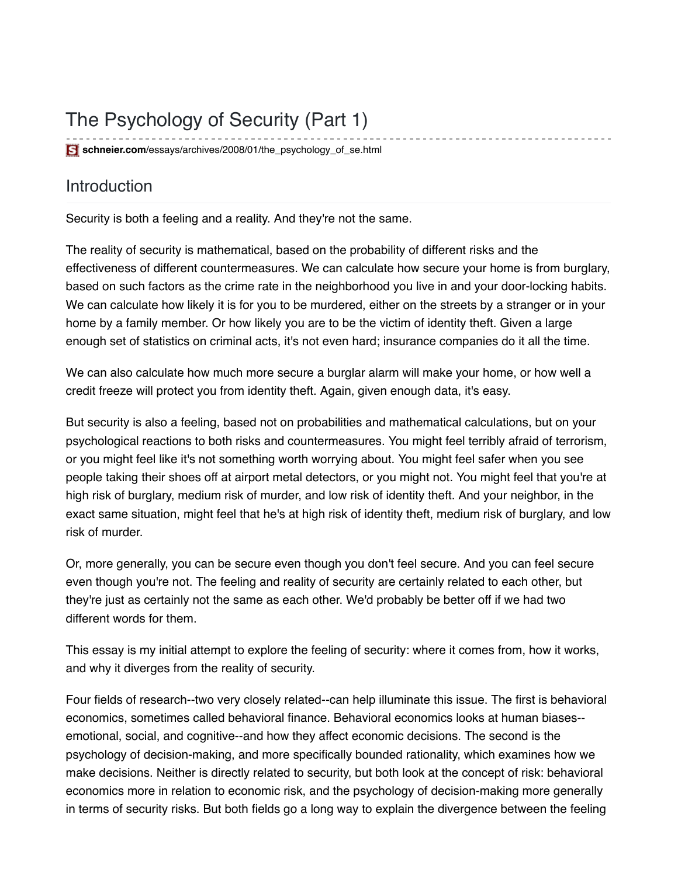# The Psychology of Security (Part 1)

**schneier.com**/essays/archives/2008/01/the\_psychology\_of\_se.html

### Introduction

Security is both a feeling and a reality. And they're not the same.

The reality of security is mathematical, based on the probability of different risks and the effectiveness of different countermeasures. We can calculate how secure your home is from burglary, based on such factors as the crime rate in the neighborhood you live in and your door-locking habits. We can calculate how likely it is for you to be murdered, either on the streets by a stranger or in your home by a family member. Or how likely you are to be the victim of identity theft. Given a large enough set of statistics on criminal acts, it's not even hard; insurance companies do it all the time.

We can also calculate how much more secure a burglar alarm will make your home, or how well a credit freeze will protect you from identity theft. Again, given enough data, it's easy.

But security is also a feeling, based not on probabilities and mathematical calculations, but on your psychological reactions to both risks and countermeasures. You might feel terribly afraid of terrorism, or you might feel like it's not something worth worrying about. You might feel safer when you see people taking their shoes off at airport metal detectors, or you might not. You might feel that you're at high risk of burglary, medium risk of murder, and low risk of identity theft. And your neighbor, in the exact same situation, might feel that he's at high risk of identity theft, medium risk of burglary, and low risk of murder.

Or, more generally, you can be secure even though you don't feel secure. And you can feel secure even though you're not. The feeling and reality of security are certainly related to each other, but they're just as certainly not the same as each other. We'd probably be better off if we had two different words for them.

This essay is my initial attempt to explore the feeling of security: where it comes from, how it works, and why it diverges from the reality of security.

Four fields of research--two very closely related--can help illuminate this issue. The first is behavioral economics, sometimes called behavioral finance. Behavioral economics looks at human biases- emotional, social, and cognitive--and how they affect economic decisions. The second is the psychology of decision-making, and more specifically bounded rationality, which examines how we make decisions. Neither is directly related to security, but both look at the concept of risk: behavioral economics more in relation to economic risk, and the psychology of decision-making more generally in terms of security risks. But both fields go a long way to explain the divergence between the feeling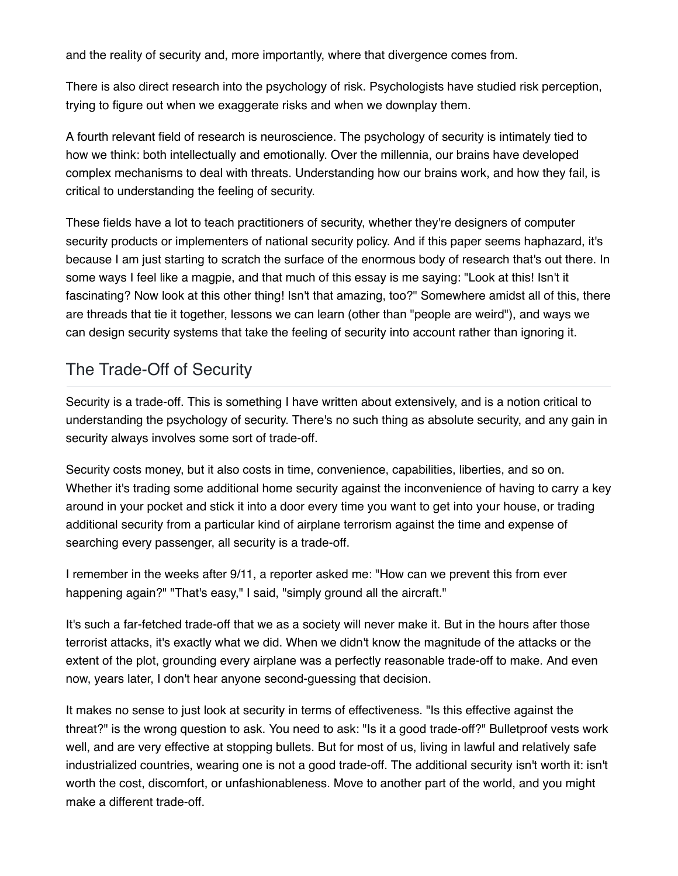and the reality of security and, more importantly, where that divergence comes from.

There is also direct research into the psychology of risk. Psychologists have studied risk perception, trying to figure out when we exaggerate risks and when we downplay them.

A fourth relevant field of research is neuroscience. The psychology of security is intimately tied to how we think: both intellectually and emotionally. Over the millennia, our brains have developed complex mechanisms to deal with threats. Understanding how our brains work, and how they fail, is critical to understanding the feeling of security.

These fields have a lot to teach practitioners of security, whether they're designers of computer security products or implementers of national security policy. And if this paper seems haphazard, it's because I am just starting to scratch the surface of the enormous body of research that's out there. In some ways I feel like a magpie, and that much of this essay is me saying: "Look at this! Isn't it fascinating? Now look at this other thing! Isn't that amazing, too?" Somewhere amidst all of this, there are threads that tie it together, lessons we can learn (other than "people are weird"), and ways we can design security systems that take the feeling of security into account rather than ignoring it.

# The Trade-Off of Security

Security is a trade-off. This is something I have written about extensively, and is a notion critical to understanding the psychology of security. There's no such thing as absolute security, and any gain in security always involves some sort of trade-off.

Security costs money, but it also costs in time, convenience, capabilities, liberties, and so on. Whether it's trading some additional home security against the inconvenience of having to carry a key around in your pocket and stick it into a door every time you want to get into your house, or trading additional security from a particular kind of airplane terrorism against the time and expense of searching every passenger, all security is a trade-off.

I remember in the weeks after 9/11, a reporter asked me: "How can we prevent this from ever happening again?" "That's easy," I said, "simply ground all the aircraft."

It's such a far-fetched trade-off that we as a society will never make it. But in the hours after those terrorist attacks, it's exactly what we did. When we didn't know the magnitude of the attacks or the extent of the plot, grounding every airplane was a perfectly reasonable trade-off to make. And even now, years later, I don't hear anyone second-guessing that decision.

It makes no sense to just look at security in terms of effectiveness. "Is this effective against the threat?" is the wrong question to ask. You need to ask: "Is it a good trade-off?" Bulletproof vests work well, and are very effective at stopping bullets. But for most of us, living in lawful and relatively safe industrialized countries, wearing one is not a good trade-off. The additional security isn't worth it: isn't worth the cost, discomfort, or unfashionableness. Move to another part of the world, and you might make a different trade-off.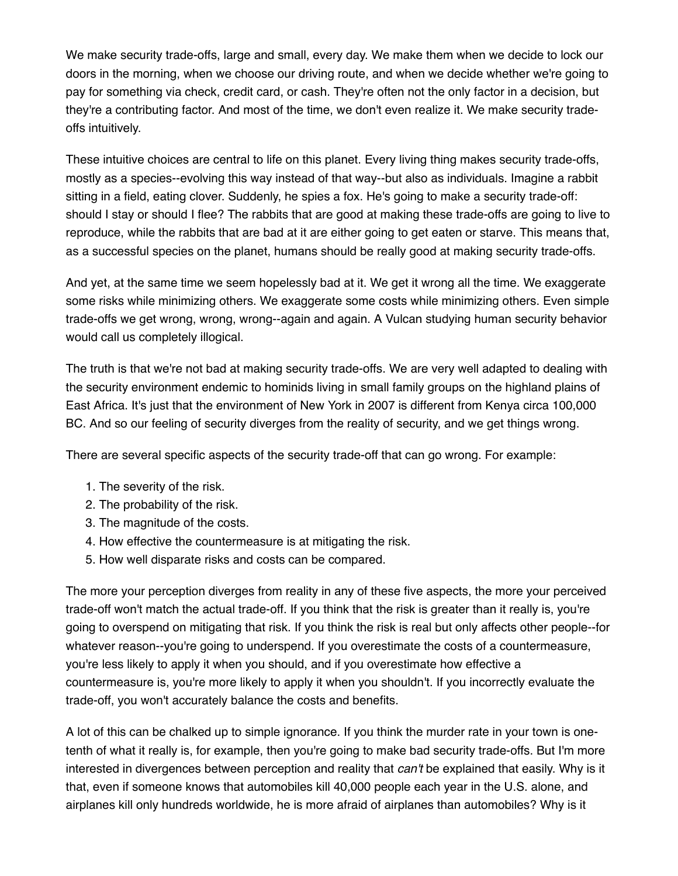We make security trade-offs, large and small, every day. We make them when we decide to lock our doors in the morning, when we choose our driving route, and when we decide whether we're going to pay for something via check, credit card, or cash. They're often not the only factor in a decision, but they're a contributing factor. And most of the time, we don't even realize it. We make security tradeoffs intuitively.

These intuitive choices are central to life on this planet. Every living thing makes security trade-offs, mostly as a species--evolving this way instead of that way--but also as individuals. Imagine a rabbit sitting in a field, eating clover. Suddenly, he spies a fox. He's going to make a security trade-off: should I stay or should I flee? The rabbits that are good at making these trade-offs are going to live to reproduce, while the rabbits that are bad at it are either going to get eaten or starve. This means that, as a successful species on the planet, humans should be really good at making security trade-offs.

And yet, at the same time we seem hopelessly bad at it. We get it wrong all the time. We exaggerate some risks while minimizing others. We exaggerate some costs while minimizing others. Even simple trade-offs we get wrong, wrong, wrong--again and again. A Vulcan studying human security behavior would call us completely illogical.

The truth is that we're not bad at making security trade-offs. We are very well adapted to dealing with the security environment endemic to hominids living in small family groups on the highland plains of East Africa. It's just that the environment of New York in 2007 is different from Kenya circa 100,000 BC. And so our feeling of security diverges from the reality of security, and we get things wrong.

There are several specific aspects of the security trade-off that can go wrong. For example:

- 1. The severity of the risk.
- 2. The probability of the risk.
- 3. The magnitude of the costs.
- 4. How effective the countermeasure is at mitigating the risk.
- 5. How well disparate risks and costs can be compared.

The more your perception diverges from reality in any of these five aspects, the more your perceived trade-off won't match the actual trade-off. If you think that the risk is greater than it really is, you're going to overspend on mitigating that risk. If you think the risk is real but only affects other people--for whatever reason--you're going to underspend. If you overestimate the costs of a countermeasure, you're less likely to apply it when you should, and if you overestimate how effective a countermeasure is, you're more likely to apply it when you shouldn't. If you incorrectly evaluate the trade-off, you won't accurately balance the costs and benefits.

A lot of this can be chalked up to simple ignorance. If you think the murder rate in your town is onetenth of what it really is, for example, then you're going to make bad security trade-offs. But I'm more interested in divergences between perception and reality that *can't* be explained that easily. Why is it that, even if someone knows that automobiles kill 40,000 people each year in the U.S. alone, and airplanes kill only hundreds worldwide, he is more afraid of airplanes than automobiles? Why is it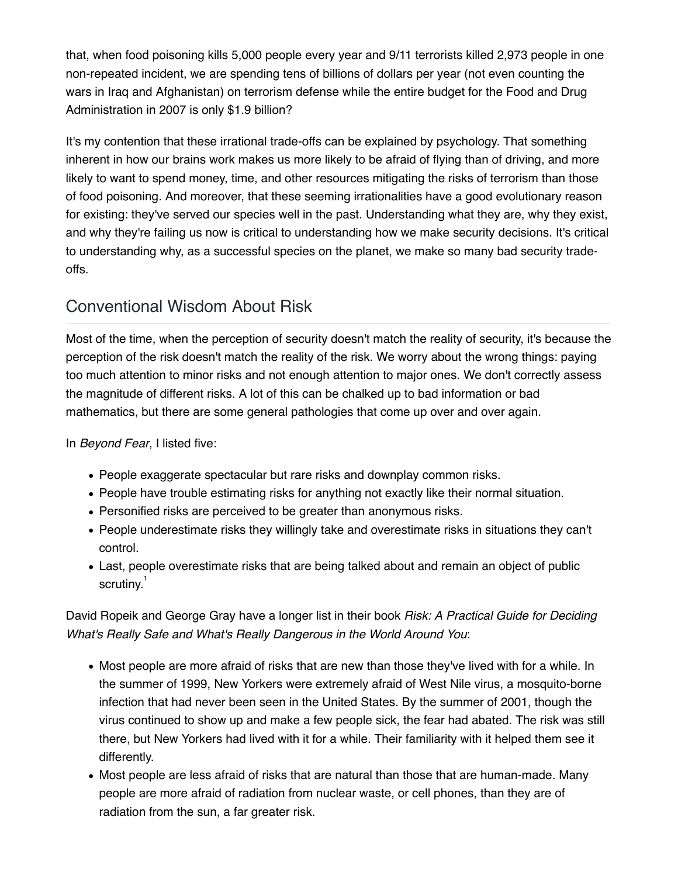that, when food poisoning kills 5,000 people every year and 9/11 terrorists killed 2,973 people in one non-repeated incident, we are spending tens of billions of dollars per year (not even counting the wars in Iraq and Afghanistan) on terrorism defense while the entire budget for the Food and Drug Administration in 2007 is only \$1.9 billion?

It's my contention that these irrational trade-offs can be explained by psychology. That something inherent in how our brains work makes us more likely to be afraid of flying than of driving, and more likely to want to spend money, time, and other resources mitigating the risks of terrorism than those of food poisoning. And moreover, that these seeming irrationalities have a good evolutionary reason for existing: they've served our species well in the past. Understanding what they are, why they exist, and why they're failing us now is critical to understanding how we make security decisions. It's critical to understanding why, as a successful species on the planet, we make so many bad security tradeoffs.

### Conventional Wisdom About Risk

Most of the time, when the perception of security doesn't match the reality of security, it's because the perception of the risk doesn't match the reality of the risk. We worry about the wrong things: paying too much attention to minor risks and not enough attention to major ones. We don't correctly assess the magnitude of different risks. A lot of this can be chalked up to bad information or bad mathematics, but there are some general pathologies that come up over and over again.

In *Beyond Fear*, I listed five:

- People exaggerate spectacular but rare risks and downplay common risks.
- People have trouble estimating risks for anything not exactly like their normal situation.
- Personified risks are perceived to be greater than anonymous risks.
- People underestimate risks they willingly take and overestimate risks in situations they can't control.
- Last, people overestimate risks that are being talked about and remain an object of public scrutiny.<sup>1</sup>

David Ropeik and George Gray have a longer list in their book *Risk: A Practical Guide for Deciding What's Really Safe and What's Really Dangerous in the World Around You*:

- Most people are more afraid of risks that are new than those they've lived with for a while. In the summer of 1999, New Yorkers were extremely afraid of West Nile virus, a mosquito-borne infection that had never been seen in the United States. By the summer of 2001, though the virus continued to show up and make a few people sick, the fear had abated. The risk was still there, but New Yorkers had lived with it for a while. Their familiarity with it helped them see it differently.
- Most people are less afraid of risks that are natural than those that are human-made. Many people are more afraid of radiation from nuclear waste, or cell phones, than they are of radiation from the sun, a far greater risk.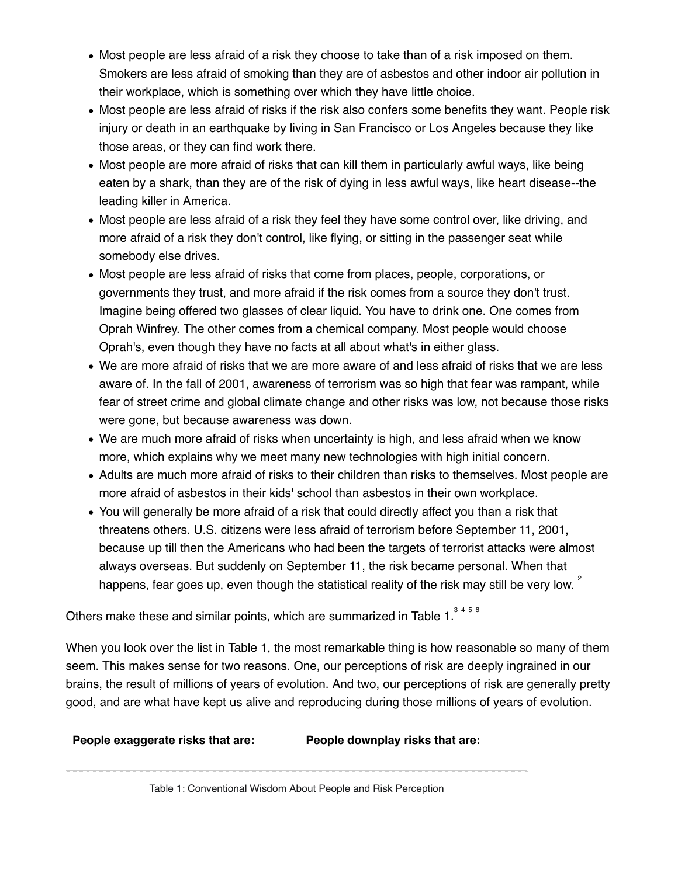- Most people are less afraid of a risk they choose to take than of a risk imposed on them. Smokers are less afraid of smoking than they are of asbestos and other indoor air pollution in their workplace, which is something over which they have little choice.
- Most people are less afraid of risks if the risk also confers some benefits they want. People risk injury or death in an earthquake by living in San Francisco or Los Angeles because they like those areas, or they can find work there.
- Most people are more afraid of risks that can kill them in particularly awful ways, like being eaten by a shark, than they are of the risk of dying in less awful ways, like heart disease--the leading killer in America.
- Most people are less afraid of a risk they feel they have some control over, like driving, and more afraid of a risk they don't control, like flying, or sitting in the passenger seat while somebody else drives.
- Most people are less afraid of risks that come from places, people, corporations, or governments they trust, and more afraid if the risk comes from a source they don't trust. Imagine being offered two glasses of clear liquid. You have to drink one. One comes from Oprah Winfrey. The other comes from a chemical company. Most people would choose Oprah's, even though they have no facts at all about what's in either glass.
- We are more afraid of risks that we are more aware of and less afraid of risks that we are less aware of. In the fall of 2001, awareness of terrorism was so high that fear was rampant, while fear of street crime and global climate change and other risks was low, not because those risks were gone, but because awareness was down.
- We are much more afraid of risks when uncertainty is high, and less afraid when we know more, which explains why we meet many new technologies with high initial concern.
- Adults are much more afraid of risks to their children than risks to themselves. Most people are more afraid of asbestos in their kids' school than asbestos in their own workplace.
- You will generally be more afraid of a risk that could directly affect you than a risk that threatens others. U.S. citizens were less afraid of terrorism before September 11, 2001, because up till then the Americans who had been the targets of terrorist attacks were almost always overseas. But suddenly on September 11, the risk became personal. When that happens, fear goes up, even though the statistical reality of the risk may still be very low.  $^{2}$

Others make these and similar points, which are summarized in Table 1. $3456$ 

When you look over the list in Table 1, the most remarkable thing is how reasonable so many of them seem. This makes sense for two reasons. One, our perceptions of risk are deeply ingrained in our brains, the result of millions of years of evolution. And two, our perceptions of risk are generally pretty good, and are what have kept us alive and reproducing during those millions of years of evolution.

#### **People exaggerate risks that are: People downplay risks that are:**

Table 1: Conventional Wisdom About People and Risk Perception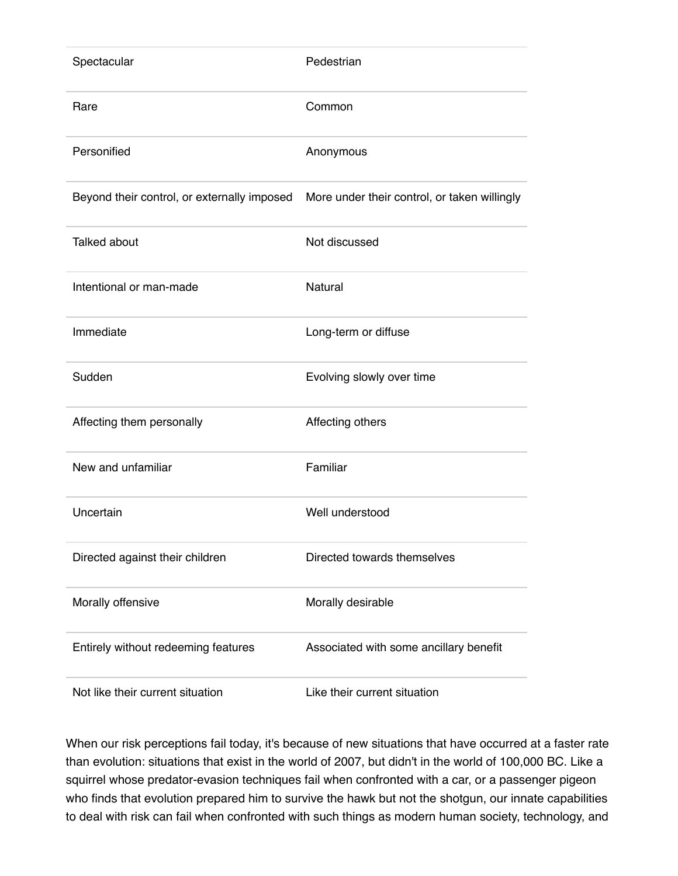| Spectacular                                 | Pedestrian                                   |
|---------------------------------------------|----------------------------------------------|
| Rare                                        | Common                                       |
| Personified                                 | Anonymous                                    |
| Beyond their control, or externally imposed | More under their control, or taken willingly |
| <b>Talked about</b>                         | Not discussed                                |
| Intentional or man-made                     | Natural                                      |
| Immediate                                   | Long-term or diffuse                         |
| Sudden                                      | Evolving slowly over time                    |
| Affecting them personally                   | Affecting others                             |
| New and unfamiliar                          | Familiar                                     |
| Uncertain                                   | Well understood                              |
| Directed against their children             | Directed towards themselves                  |
| Morally offensive                           | Morally desirable                            |
| Entirely without redeeming features         | Associated with some ancillary benefit       |
| Not like their current situation            | Like their current situation                 |

When our risk perceptions fail today, it's because of new situations that have occurred at a faster rate than evolution: situations that exist in the world of 2007, but didn't in the world of 100,000 BC. Like a squirrel whose predator-evasion techniques fail when confronted with a car, or a passenger pigeon who finds that evolution prepared him to survive the hawk but not the shotgun, our innate capabilities to deal with risk can fail when confronted with such things as modern human society, technology, and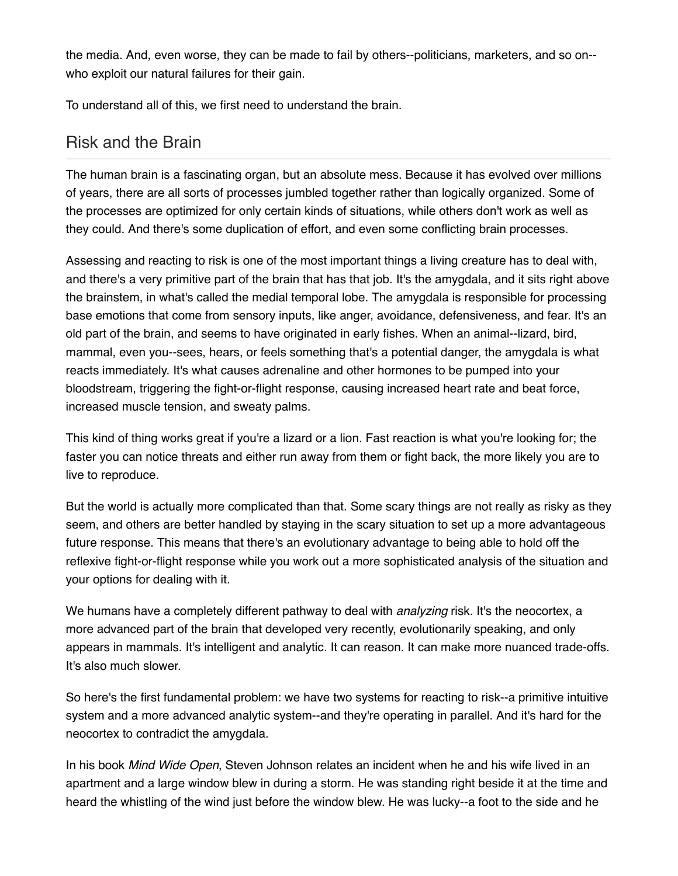the media. And, even worse, they can be made to fail by others--politicians, marketers, and so on- who exploit our natural failures for their gain.

To understand all of this, we first need to understand the brain.

### Risk and the Brain

The human brain is a fascinating organ, but an absolute mess. Because it has evolved over millions of years, there are all sorts of processes jumbled together rather than logically organized. Some of the processes are optimized for only certain kinds of situations, while others don't work as well as they could. And there's some duplication of effort, and even some conflicting brain processes.

Assessing and reacting to risk is one of the most important things a living creature has to deal with, and there's a very primitive part of the brain that has that job. It's the amygdala, and it sits right above the brainstem, in what's called the medial temporal lobe. The amygdala is responsible for processing base emotions that come from sensory inputs, like anger, avoidance, defensiveness, and fear. It's an old part of the brain, and seems to have originated in early fishes. When an animal--lizard, bird, mammal, even you--sees, hears, or feels something that's a potential danger, the amygdala is what reacts immediately. It's what causes adrenaline and other hormones to be pumped into your bloodstream, triggering the fight-or-flight response, causing increased heart rate and beat force, increased muscle tension, and sweaty palms.

This kind of thing works great if you're a lizard or a lion. Fast reaction is what you're looking for; the faster you can notice threats and either run away from them or fight back, the more likely you are to live to reproduce.

But the world is actually more complicated than that. Some scary things are not really as risky as they seem, and others are better handled by staying in the scary situation to set up a more advantageous future response. This means that there's an evolutionary advantage to being able to hold off the reflexive fight-or-flight response while you work out a more sophisticated analysis of the situation and your options for dealing with it.

We humans have a completely different pathway to deal with *analyzing* risk. It's the neocortex, a more advanced part of the brain that developed very recently, evolutionarily speaking, and only appears in mammals. It's intelligent and analytic. It can reason. It can make more nuanced trade-offs. It's also much slower.

So here's the first fundamental problem: we have two systems for reacting to risk--a primitive intuitive system and a more advanced analytic system--and they're operating in parallel. And it's hard for the neocortex to contradict the amygdala.

In his book *Mind Wide Open*, Steven Johnson relates an incident when he and his wife lived in an apartment and a large window blew in during a storm. He was standing right beside it at the time and heard the whistling of the wind just before the window blew. He was lucky--a foot to the side and he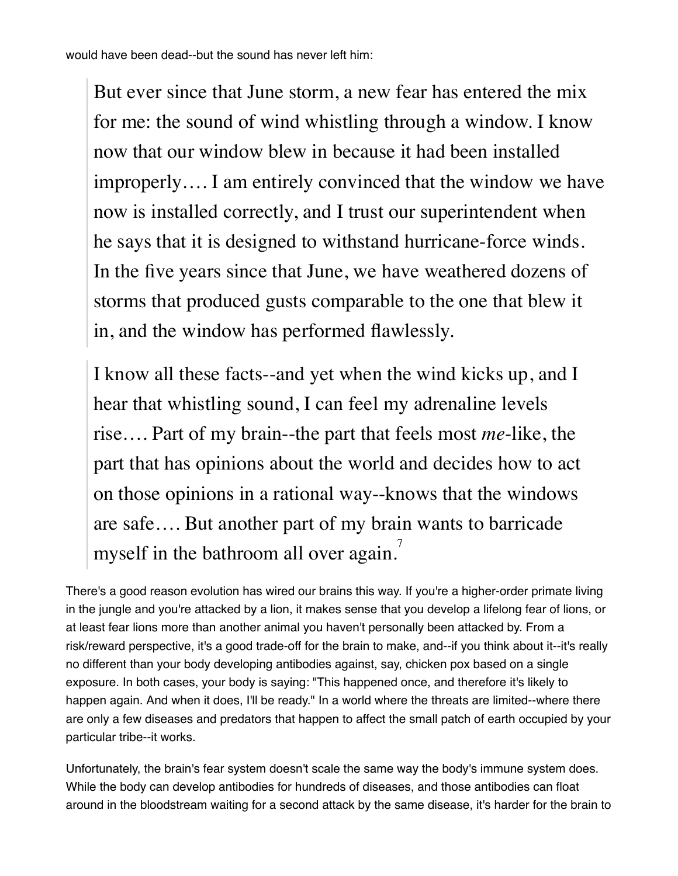But ever since that June storm, a new fear has entered the mix for me: the sound of wind whistling through a window. I know now that our window blew in because it had been installed improperly…. I am entirely convinced that the window we have now is installed correctly, and I trust our superintendent when he says that it is designed to withstand hurricane-force winds. In the five years since that June, we have weathered dozens of storms that produced gusts comparable to the one that blew it in, and the window has performed flawlessly.

I know all these facts--and yet when the wind kicks up, and I hear that whistling sound, I can feel my adrenaline levels rise…. Part of my brain--the part that feels most *me*-like, the part that has opinions about the world and decides how to act on those opinions in a rational way--knows that the windows are safe…. But another part of my brain wants to barricade myself in the bathroom all over again.<sup>7</sup>

There's a good reason evolution has wired our brains this way. If you're a higher-order primate living in the jungle and you're attacked by a lion, it makes sense that you develop a lifelong fear of lions, or at least fear lions more than another animal you haven't personally been attacked by. From a risk/reward perspective, it's a good trade-off for the brain to make, and--if you think about it--it's really no different than your body developing antibodies against, say, chicken pox based on a single exposure. In both cases, your body is saying: "This happened once, and therefore it's likely to happen again. And when it does, I'll be ready." In a world where the threats are limited--where there are only a few diseases and predators that happen to affect the small patch of earth occupied by your particular tribe--it works.

Unfortunately, the brain's fear system doesn't scale the same way the body's immune system does. While the body can develop antibodies for hundreds of diseases, and those antibodies can float around in the bloodstream waiting for a second attack by the same disease, it's harder for the brain to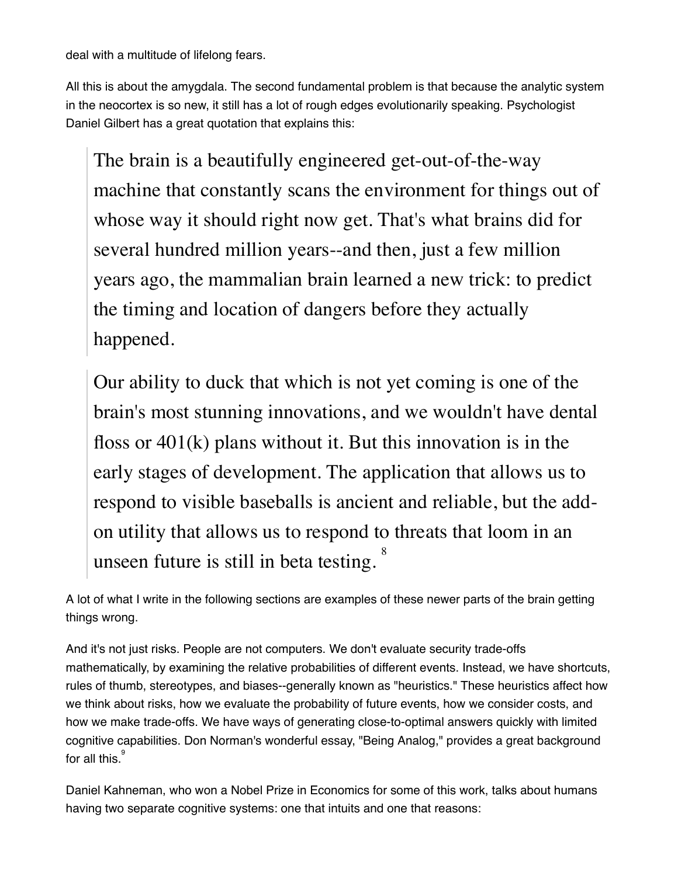deal with a multitude of lifelong fears.

All this is about the amygdala. The second fundamental problem is that because the analytic system in the neocortex is so new, it still has a lot of rough edges evolutionarily speaking. Psychologist Daniel Gilbert has a great quotation that explains this:

The brain is a beautifully engineered get-out-of-the-way machine that constantly scans the environment for things out of whose way it should right now get. That's what brains did for several hundred million years--and then, just a few million years ago, the mammalian brain learned a new trick: to predict the timing and location of dangers before they actually happened.

Our ability to duck that which is not yet coming is one of the brain's most stunning innovations, and we wouldn't have dental floss or  $401(k)$  plans without it. But this innovation is in the early stages of development. The application that allows us to respond to visible baseballs is ancient and reliable, but the addon utility that allows us to respond to threats that loom in an unseen future is still in beta testing. 8

A lot of what I write in the following sections are examples of these newer parts of the brain getting things wrong.

And it's not just risks. People are not computers. We don't evaluate security trade-offs mathematically, by examining the relative probabilities of different events. Instead, we have shortcuts, rules of thumb, stereotypes, and biases--generally known as "heuristics." These heuristics affect how we think about risks, how we evaluate the probability of future events, how we consider costs, and how we make trade-offs. We have ways of generating close-to-optimal answers quickly with limited cognitive capabilities. Don Norman's wonderful essay, "Being Analog," provides a great background for all this. $^\circ$ 

Daniel Kahneman, who won a Nobel Prize in Economics for some of this work, talks about humans having two separate cognitive systems: one that intuits and one that reasons: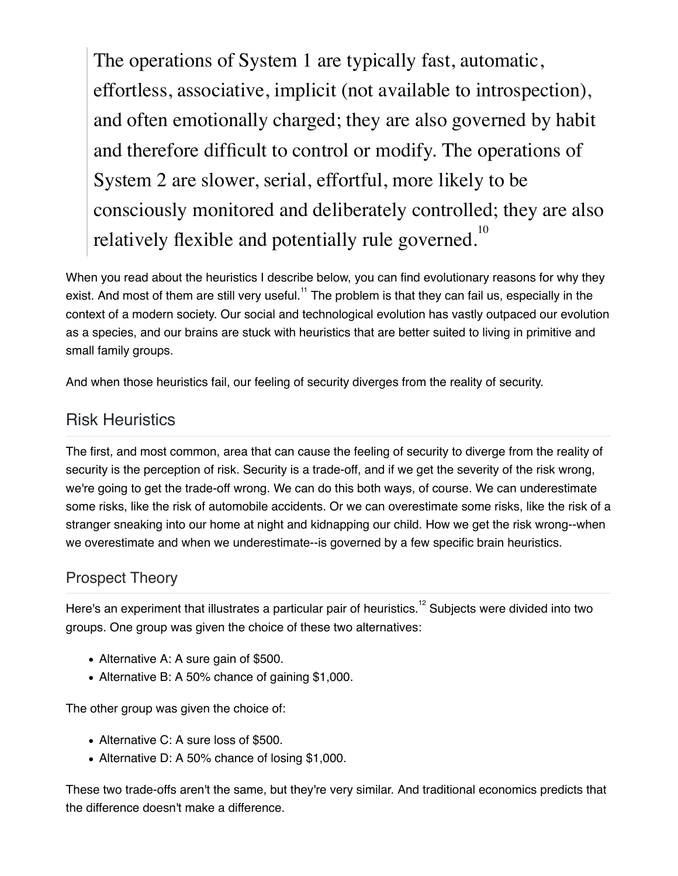The operations of System 1 are typically fast, automatic, effortless, associative, implicit (not available to introspection), and often emotionally charged; they are also governed by habit and therefore difficult to control or modify. The operations of System 2 are slower, serial, effortful, more likely to be consciously monitored and deliberately controlled; they are also relatively flexible and potentially rule governed.<sup>10</sup>

When you read about the heuristics I describe below, you can find evolutionary reasons for why they exist. And most of them are still very useful.<sup>11</sup> The problem is that they can fail us, especially in the context of a modern society. Our social and technological evolution has vastly outpaced our evolution as a species, and our brains are stuck with heuristics that are better suited to living in primitive and small family groups.

And when those heuristics fail, our feeling of security diverges from the reality of security.

#### Risk Heuristics

The first, and most common, area that can cause the feeling of security to diverge from the reality of security is the perception of risk. Security is a trade-off, and if we get the severity of the risk wrong, we're going to get the trade-off wrong. We can do this both ways, of course. We can underestimate some risks, like the risk of automobile accidents. Or we can overestimate some risks, like the risk of a stranger sneaking into our home at night and kidnapping our child. How we get the risk wrong--when we overestimate and when we underestimate--is governed by a few specific brain heuristics.

#### Prospect Theory

Here's an experiment that illustrates a particular pair of heuristics.<sup>12</sup> Subjects were divided into two groups. One group was given the choice of these two alternatives:

- Alternative A: A sure gain of \$500.
- Alternative B: A 50% chance of gaining \$1,000.

The other group was given the choice of:

- Alternative C: A sure loss of \$500.
- Alternative D: A 50% chance of losing \$1,000.

These two trade-offs aren't the same, but they're very similar. And traditional economics predicts that the difference doesn't make a difference.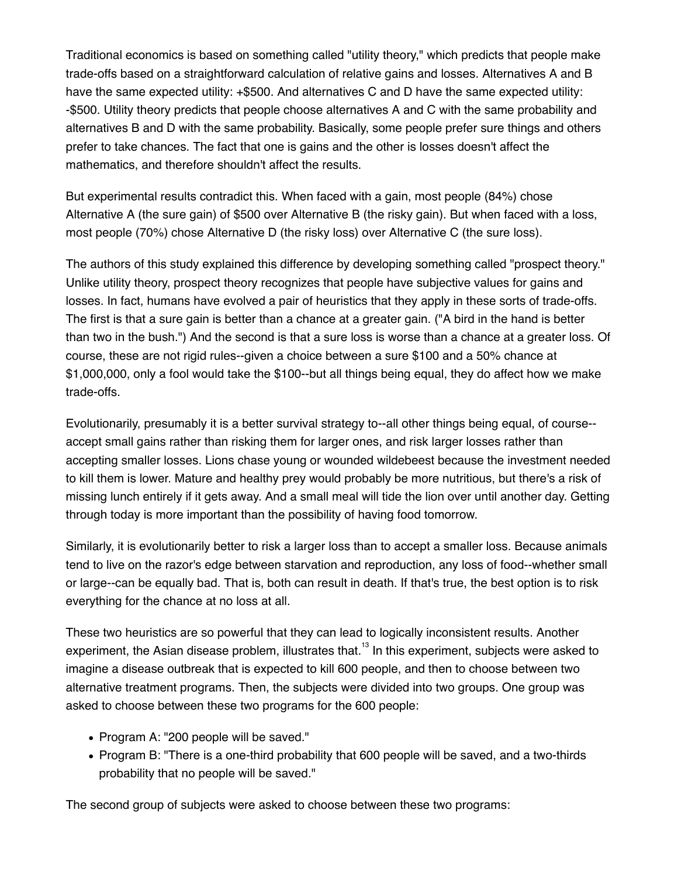Traditional economics is based on something called "utility theory," which predicts that people make trade-offs based on a straightforward calculation of relative gains and losses. Alternatives A and B have the same expected utility:  $+$ \$500. And alternatives C and D have the same expected utility: -\$500. Utility theory predicts that people choose alternatives A and C with the same probability and alternatives B and D with the same probability. Basically, some people prefer sure things and others prefer to take chances. The fact that one is gains and the other is losses doesn't affect the mathematics, and therefore shouldn't affect the results.

But experimental results contradict this. When faced with a gain, most people (84%) chose Alternative A (the sure gain) of \$500 over Alternative B (the risky gain). But when faced with a loss, most people (70%) chose Alternative D (the risky loss) over Alternative C (the sure loss).

The authors of this study explained this difference by developing something called "prospect theory." Unlike utility theory, prospect theory recognizes that people have subjective values for gains and losses. In fact, humans have evolved a pair of heuristics that they apply in these sorts of trade-offs. The first is that a sure gain is better than a chance at a greater gain. ("A bird in the hand is better than two in the bush.") And the second is that a sure loss is worse than a chance at a greater loss. Of course, these are not rigid rules--given a choice between a sure \$100 and a 50% chance at \$1,000,000, only a fool would take the \$100--but all things being equal, they do affect how we make trade-offs.

Evolutionarily, presumably it is a better survival strategy to--all other things being equal, of course- accept small gains rather than risking them for larger ones, and risk larger losses rather than accepting smaller losses. Lions chase young or wounded wildebeest because the investment needed to kill them is lower. Mature and healthy prey would probably be more nutritious, but there's a risk of missing lunch entirely if it gets away. And a small meal will tide the lion over until another day. Getting through today is more important than the possibility of having food tomorrow.

Similarly, it is evolutionarily better to risk a larger loss than to accept a smaller loss. Because animals tend to live on the razor's edge between starvation and reproduction, any loss of food--whether small or large--can be equally bad. That is, both can result in death. If that's true, the best option is to risk everything for the chance at no loss at all.

These two heuristics are so powerful that they can lead to logically inconsistent results. Another experiment, the Asian disease problem, illustrates that.<sup>13</sup> In this experiment, subjects were asked to imagine a disease outbreak that is expected to kill 600 people, and then to choose between two alternative treatment programs. Then, the subjects were divided into two groups. One group was asked to choose between these two programs for the 600 people:

- Program A: "200 people will be saved."
- Program B: "There is a one-third probability that 600 people will be saved, and a two-thirds probability that no people will be saved."

The second group of subjects were asked to choose between these two programs: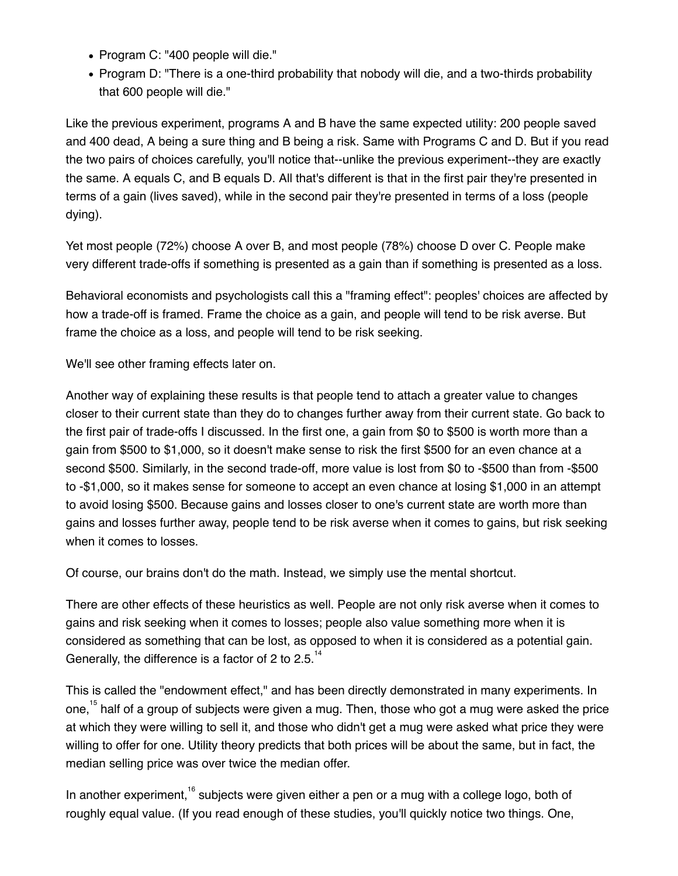- Program C: "400 people will die."
- Program D: "There is a one-third probability that nobody will die, and a two-thirds probability that 600 people will die."

Like the previous experiment, programs A and B have the same expected utility: 200 people saved and 400 dead, A being a sure thing and B being a risk. Same with Programs C and D. But if you read the two pairs of choices carefully, you'll notice that--unlike the previous experiment--they are exactly the same. A equals C, and B equals D. All that's different is that in the first pair they're presented in terms of a gain (lives saved), while in the second pair they're presented in terms of a loss (people dying).

Yet most people (72%) choose A over B, and most people (78%) choose D over C. People make very different trade-offs if something is presented as a gain than if something is presented as a loss.

Behavioral economists and psychologists call this a "framing effect": peoples' choices are affected by how a trade-off is framed. Frame the choice as a gain, and people will tend to be risk averse. But frame the choice as a loss, and people will tend to be risk seeking.

We'll see other framing effects later on.

Another way of explaining these results is that people tend to attach a greater value to changes closer to their current state than they do to changes further away from their current state. Go back to the first pair of trade-offs I discussed. In the first one, a gain from \$0 to \$500 is worth more than a gain from \$500 to \$1,000, so it doesn't make sense to risk the first \$500 for an even chance at a second \$500. Similarly, in the second trade-off, more value is lost from \$0 to -\$500 than from -\$500 to -\$1,000, so it makes sense for someone to accept an even chance at losing \$1,000 in an attempt to avoid losing \$500. Because gains and losses closer to one's current state are worth more than gains and losses further away, people tend to be risk averse when it comes to gains, but risk seeking when it comes to losses.

Of course, our brains don't do the math. Instead, we simply use the mental shortcut.

There are other effects of these heuristics as well. People are not only risk averse when it comes to gains and risk seeking when it comes to losses; people also value something more when it is considered as something that can be lost, as opposed to when it is considered as a potential gain. Generally, the difference is a factor of 2 to 2.5. $^{14}$ 

This is called the "endowment effect," and has been directly demonstrated in many experiments. In one,  $15$  half of a group of subjects were given a mug. Then, those who got a mug were asked the price at which they were willing to sell it, and those who didn't get a mug were asked what price they were willing to offer for one. Utility theory predicts that both prices will be about the same, but in fact, the median selling price was over twice the median offer.

In another experiment,  $16$  subjects were given either a pen or a mug with a college logo, both of roughly equal value. (If you read enough of these studies, you'll quickly notice two things. One,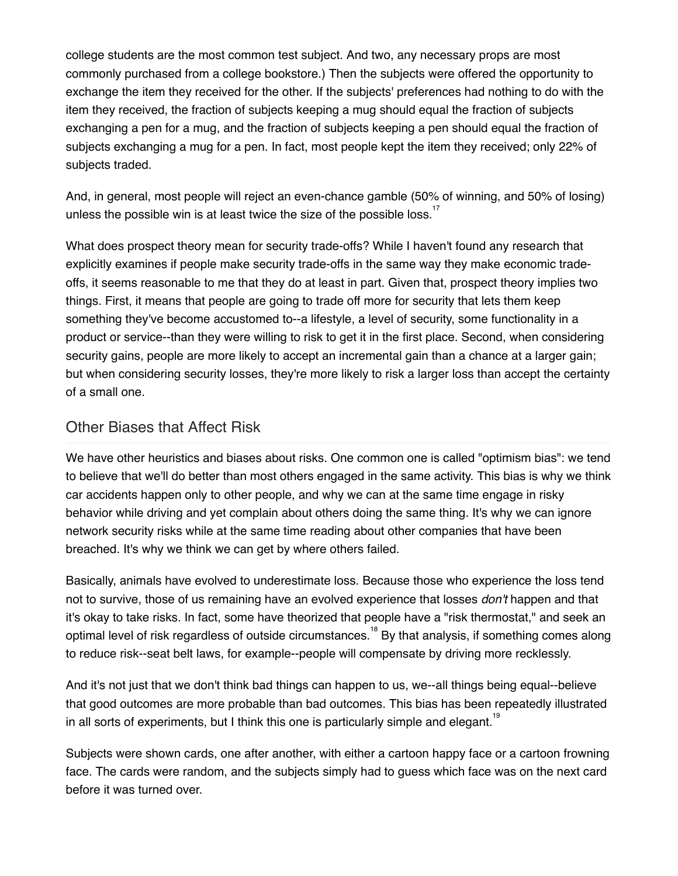college students are the most common test subject. And two, any necessary props are most commonly purchased from a college bookstore.) Then the subjects were offered the opportunity to exchange the item they received for the other. If the subjects' preferences had nothing to do with the item they received, the fraction of subjects keeping a mug should equal the fraction of subjects exchanging a pen for a mug, and the fraction of subjects keeping a pen should equal the fraction of subjects exchanging a mug for a pen. In fact, most people kept the item they received; only 22% of subjects traded.

And, in general, most people will reject an even-chance gamble (50% of winning, and 50% of losing) unless the possible win is at least twice the size of the possible loss.<sup>17</sup>

What does prospect theory mean for security trade-offs? While I haven't found any research that explicitly examines if people make security trade-offs in the same way they make economic tradeoffs, it seems reasonable to me that they do at least in part. Given that, prospect theory implies two things. First, it means that people are going to trade off more for security that lets them keep something they've become accustomed to--a lifestyle, a level of security, some functionality in a product or service--than they were willing to risk to get it in the first place. Second, when considering security gains, people are more likely to accept an incremental gain than a chance at a larger gain; but when considering security losses, they're more likely to risk a larger loss than accept the certainty of a small one.

#### Other Biases that Affect Risk

We have other heuristics and biases about risks. One common one is called "optimism bias": we tend to believe that we'll do better than most others engaged in the same activity. This bias is why we think car accidents happen only to other people, and why we can at the same time engage in risky behavior while driving and yet complain about others doing the same thing. It's why we can ignore network security risks while at the same time reading about other companies that have been breached. It's why we think we can get by where others failed.

Basically, animals have evolved to underestimate loss. Because those who experience the loss tend not to survive, those of us remaining have an evolved experience that losses *don't* happen and that it's okay to take risks. In fact, some have theorized that people have a "risk thermostat," and seek an optimal level of risk regardless of outside circumstances.<sup>18</sup> By that analysis, if something comes along to reduce risk--seat belt laws, for example--people will compensate by driving more recklessly.

And it's not just that we don't think bad things can happen to us, we--all things being equal--believe that good outcomes are more probable than bad outcomes. This bias has been repeatedly illustrated in all sorts of experiments, but I think this one is particularly simple and elegant.<sup>19</sup>

Subjects were shown cards, one after another, with either a cartoon happy face or a cartoon frowning face. The cards were random, and the subjects simply had to guess which face was on the next card before it was turned over.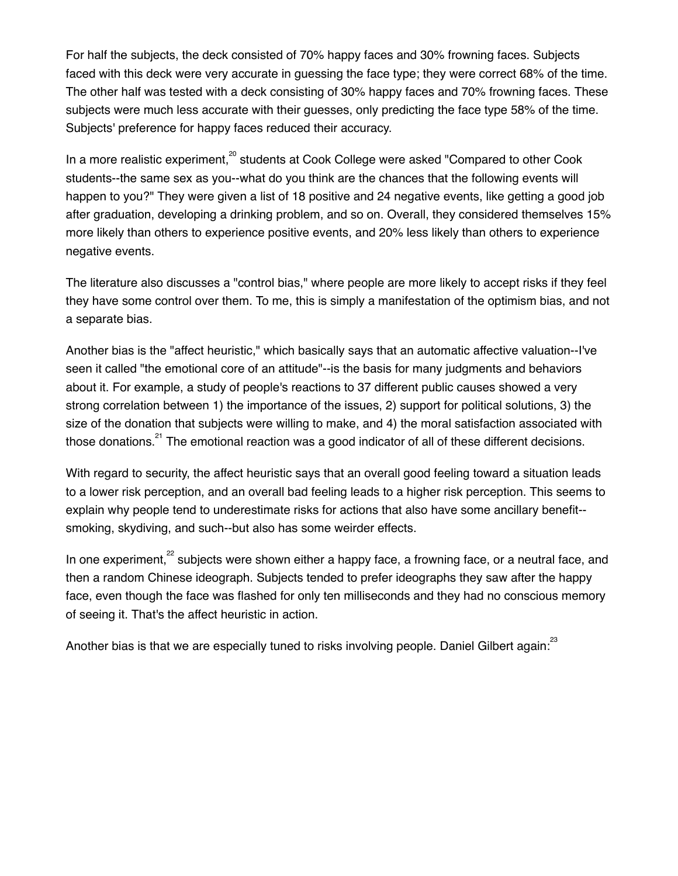For half the subjects, the deck consisted of 70% happy faces and 30% frowning faces. Subjects faced with this deck were very accurate in guessing the face type; they were correct 68% of the time. The other half was tested with a deck consisting of 30% happy faces and 70% frowning faces. These subjects were much less accurate with their guesses, only predicting the face type 58% of the time. Subjects' preference for happy faces reduced their accuracy.

In a more realistic experiment, $2^{\circ}$  students at Cook College were asked "Compared to other Cook students--the same sex as you--what do you think are the chances that the following events will happen to you?" They were given a list of 18 positive and 24 negative events, like getting a good job after graduation, developing a drinking problem, and so on. Overall, they considered themselves 15% more likely than others to experience positive events, and 20% less likely than others to experience negative events.

The literature also discusses a "control bias," where people are more likely to accept risks if they feel they have some control over them. To me, this is simply a manifestation of the optimism bias, and not a separate bias.

Another bias is the "affect heuristic," which basically says that an automatic affective valuation--I've seen it called "the emotional core of an attitude"--is the basis for many judgments and behaviors about it. For example, a study of people's reactions to 37 different public causes showed a very strong correlation between 1) the importance of the issues, 2) support for political solutions, 3) the size of the donation that subjects were willing to make, and 4) the moral satisfaction associated with those donations. $^{21}$  The emotional reaction was a good indicator of all of these different decisions.

With regard to security, the affect heuristic says that an overall good feeling toward a situation leads to a lower risk perception, and an overall bad feeling leads to a higher risk perception. This seems to explain why people tend to underestimate risks for actions that also have some ancillary benefit- smoking, skydiving, and such--but also has some weirder effects.

In one experiment, $22$  subjects were shown either a happy face, a frowning face, or a neutral face, and then a random Chinese ideograph. Subjects tended to prefer ideographs they saw after the happy face, even though the face was flashed for only ten milliseconds and they had no conscious memory of seeing it. That's the affect heuristic in action.

Another bias is that we are especially tuned to risks involving people. Daniel Gilbert again:<sup>23</sup>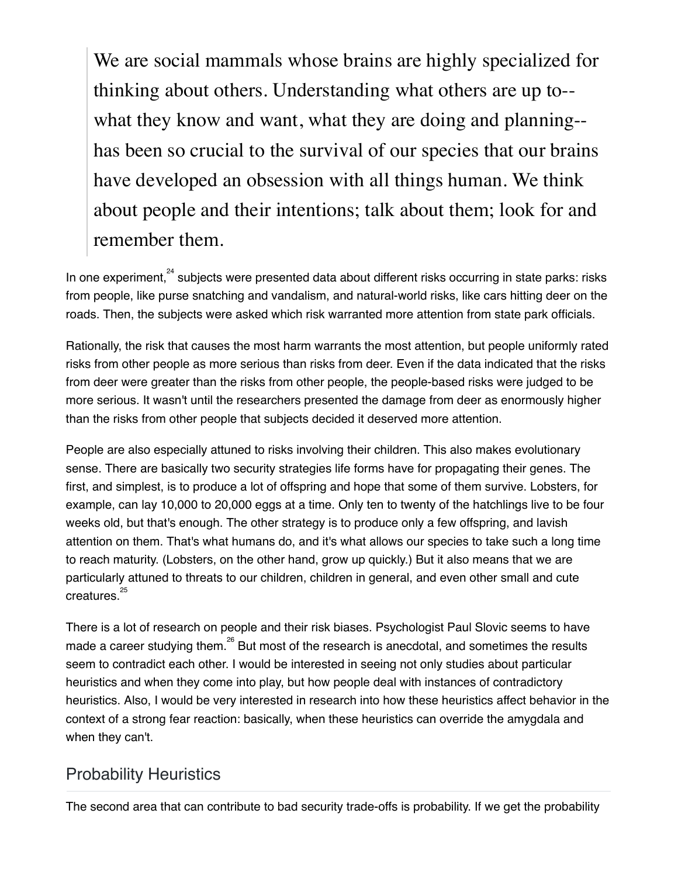We are social mammals whose brains are highly specialized for thinking about others. Understanding what others are up to- what they know and want, what they are doing and planning- has been so crucial to the survival of our species that our brains have developed an obsession with all things human. We think about people and their intentions; talk about them; look for and remember them.

In one experiment, $24$  subjects were presented data about different risks occurring in state parks: risks from people, like purse snatching and vandalism, and natural-world risks, like cars hitting deer on the roads. Then, the subjects were asked which risk warranted more attention from state park officials.

Rationally, the risk that causes the most harm warrants the most attention, but people uniformly rated risks from other people as more serious than risks from deer. Even if the data indicated that the risks from deer were greater than the risks from other people, the people-based risks were judged to be more serious. It wasn't until the researchers presented the damage from deer as enormously higher than the risks from other people that subjects decided it deserved more attention.

People are also especially attuned to risks involving their children. This also makes evolutionary sense. There are basically two security strategies life forms have for propagating their genes. The first, and simplest, is to produce a lot of offspring and hope that some of them survive. Lobsters, for example, can lay 10,000 to 20,000 eggs at a time. Only ten to twenty of the hatchlings live to be four weeks old, but that's enough. The other strategy is to produce only a few offspring, and lavish attention on them. That's what humans do, and it's what allows our species to take such a long time to reach maturity. (Lobsters, on the other hand, grow up quickly.) But it also means that we are particularly attuned to threats to our children, children in general, and even other small and cute creatures. 25

There is a lot of research on people and their risk biases. Psychologist Paul Slovic seems to have made a career studying them. $^{26}$  But most of the research is anecdotal, and sometimes the results seem to contradict each other. I would be interested in seeing not only studies about particular heuristics and when they come into play, but how people deal with instances of contradictory heuristics. Also, I would be very interested in research into how these heuristics affect behavior in the context of a strong fear reaction: basically, when these heuristics can override the amygdala and when they can't.

# Probability Heuristics

The second area that can contribute to bad security trade-offs is probability. If we get the probability